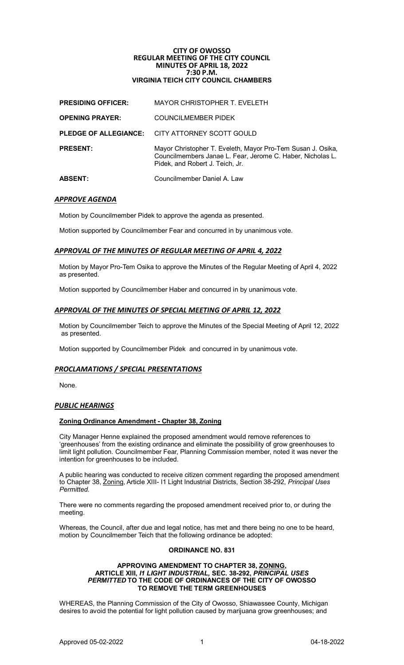# **CITY OF OWOSSO REGULAR MEETING OF THE CITY COUNCIL MINUTES OF APRIL 18, 2022 7:30 P.M. VIRGINIA TEICH CITY COUNCIL CHAMBERS**

| <b>ABSENT:</b>               | Councilmember Daniel A. Law                                                                                                                                  |
|------------------------------|--------------------------------------------------------------------------------------------------------------------------------------------------------------|
| <b>PRESENT:</b>              | Mayor Christopher T. Eveleth, Mayor Pro-Tem Susan J. Osika,<br>Councilmembers Janae L. Fear, Jerome C. Haber, Nicholas L.<br>Pidek, and Robert J. Teich, Jr. |
| <b>PLEDGE OF ALLEGIANCE:</b> | CITY ATTORNEY SCOTT GOULD                                                                                                                                    |
| <b>OPENING PRAYER:</b>       | <b>COUNCILMEMBER PIDEK</b>                                                                                                                                   |
| <b>PRESIDING OFFICER:</b>    | MAYOR CHRISTOPHER T. EVELETH                                                                                                                                 |

# *APPROVE AGENDA*

Motion by Councilmember Pidek to approve the agenda as presented.

Motion supported by Councilmember Fear and concurred in by unanimous vote.

# *APPROVAL OF THE MINUTES OF REGULAR MEETING OF APRIL 4, 2022*

Motion by Mayor Pro-Tem Osika to approve the Minutes of the Regular Meeting of April 4, 2022 as presented.

Motion supported by Councilmember Haber and concurred in by unanimous vote.

# *APPROVAL OF THE MINUTES OF SPECIAL MEETING OF APRIL 12, 2022*

Motion by Councilmember Teich to approve the Minutes of the Special Meeting of April 12, 2022 as presented.

Motion supported by Councilmember Pidek and concurred in by unanimous vote.

# *PROCLAMATIONS / SPECIAL PRESENTATIONS*

None.

# *PUBLIC HEARINGS*

# **Zoning Ordinance Amendment - Chapter 38, Zoning**

City Manager Henne explained the proposed amendment would remove references to 'greenhouses' from the existing ordinance and eliminate the possibility of grow greenhouses to limit light pollution. Councilmember Fear, Planning Commission member, noted it was never the intention for greenhouses to be included.

A public hearing was conducted to receive citizen comment regarding the proposed amendment to Chapter 38, Zoning, Article XIII- I1 Light Industrial Districts, Section 38-292, *Principal Uses Permitted.*

There were no comments regarding the proposed amendment received prior to, or during the meeting.

Whereas, the Council, after due and legal notice, has met and there being no one to be heard, motion by Councilmember Teich that the following ordinance be adopted:

### **ORDINANCE NO. 831**

### **APPROVING AMENDMENT TO CHAPTER 38, ZONING, ARTICLE XIII,** *I1 LIGHT INDUSTRIAL,* **SEC. 38-292,** *PRINCIPAL USES PERMITTED* **TO THE CODE OF ORDINANCES OF THE CITY OF OWOSSO TO REMOVE THE TERM GREENHOUSES**

WHEREAS, the Planning Commission of the City of Owosso, Shiawassee County, Michigan desires to avoid the potential for light pollution caused by marijuana grow greenhouses; and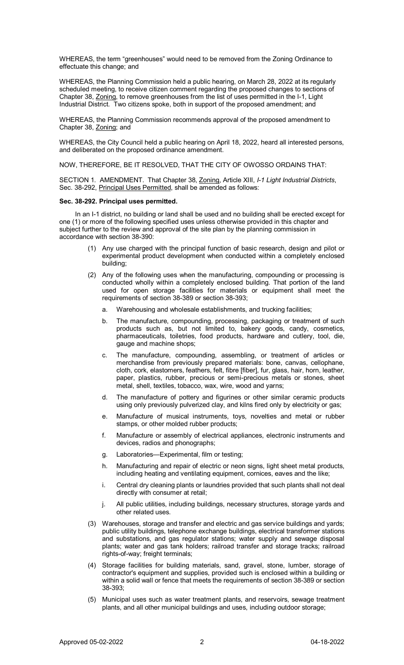WHEREAS, the term "greenhouses" would need to be removed from the Zoning Ordinance to effectuate this change; and

WHEREAS, the Planning Commission held a public hearing, on March 28, 2022 at its regularly scheduled meeting, to receive citizen comment regarding the proposed changes to sections of Chapter 38, Zoning, to remove greenhouses from the list of uses permitted in the I-1, Light Industrial District. Two citizens spoke, both in support of the proposed amendment; and

WHEREAS, the Planning Commission recommends approval of the proposed amendment to Chapter 38, Zoning; and

WHEREAS, the City Council held a public hearing on April 18, 2022, heard all interested persons, and deliberated on the proposed ordinance amendment.

NOW, THEREFORE, BE IT RESOLVED, THAT THE CITY OF OWOSSO ORDAINS THAT:

SECTION 1. AMENDMENT. That Chapter 38, Zoning, Article XIII, *I-1 Light Industrial Districts*, Sec. 38-292, Principal Uses Permitted, shall be amended as follows:

#### **Sec. 38-292. Principal uses permitted.**

In an I-1 district, no building or land shall be used and no building shall be erected except for one (1) or more of the following specified uses unless otherwise provided in this chapter and subject further to the review and approval of the site plan by the planning commission in accordance with section 38-390:

- (1) Any use charged with the principal function of basic research, design and pilot or experimental product development when conducted within a completely enclosed building;
- (2) Any of the following uses when the manufacturing, compounding or processing is conducted wholly within a completely enclosed building. That portion of the land used for open storage facilities for materials or equipment shall meet the requirements of section 38-389 or section 38-393;
	- a. Warehousing and wholesale establishments, and trucking facilities;
	- b. The manufacture, compounding, processing, packaging or treatment of such products such as, but not limited to, bakery goods, candy, cosmetics, pharmaceuticals, toiletries, food products, hardware and cutlery, tool, die, gauge and machine shops;
	- c. The manufacture, compounding, assembling, or treatment of articles or merchandise from previously prepared materials: bone, canvas, cellophane, cloth, cork, elastomers, feathers, felt, fibre [fiber], fur, glass, hair, horn, leather, paper, plastics, rubber, precious or semi-precious metals or stones, sheet metal, shell, textiles, tobacco, wax, wire, wood and yarns;
	- d. The manufacture of pottery and figurines or other similar ceramic products using only previously pulverized clay, and kilns fired only by electricity or gas;
	- e. Manufacture of musical instruments, toys, novelties and metal or rubber stamps, or other molded rubber products;
	- f. Manufacture or assembly of electrical appliances, electronic instruments and devices, radios and phonographs;
	- g. Laboratories—Experimental, film or testing;
	- h. Manufacturing and repair of electric or neon signs, light sheet metal products, including heating and ventilating equipment, cornices, eaves and the like;
	- i. Central dry cleaning plants or laundries provided that such plants shall not deal directly with consumer at retail;
	- j. All public utilities, including buildings, necessary structures, storage yards and other related uses.
- (3) Warehouses, storage and transfer and electric and gas service buildings and yards; public utility buildings, telephone exchange buildings, electrical transformer stations and substations, and gas regulator stations; water supply and sewage disposal plants; water and gas tank holders; railroad transfer and storage tracks; railroad rights-of-way; freight terminals;
- (4) Storage facilities for building materials, sand, gravel, stone, lumber, storage of contractor's equipment and supplies, provided such is enclosed within a building or within a solid wall or fence that meets the requirements of section 38-389 or section 38-393;
- (5) Municipal uses such as water treatment plants, and reservoirs, sewage treatment plants, and all other municipal buildings and uses, including outdoor storage;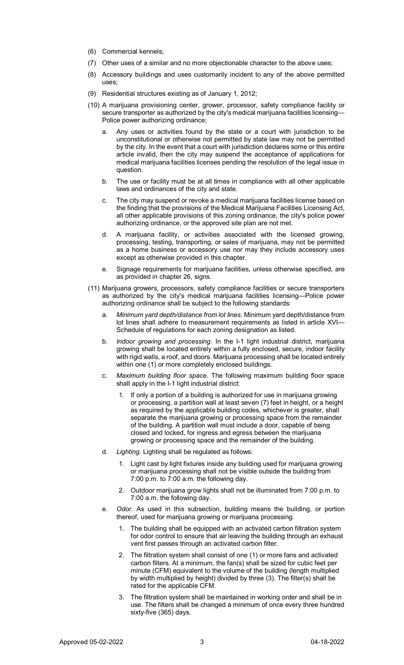- (6) Commercial kennels;
- (7) Other uses of a similar and no more objectionable character to the above uses;
- (8) Accessory buildings and uses customarily incident to any of the above permitted uses;
- (9) Residential structures existing as of January 1, 2012;
- (10) A marijuana provisioning center, grower, processor, safety compliance facility or secure transporter as authorized by the city's medical marijuana facilities licensing— Police power authorizing ordinance;
	- a. Any uses or activities found by the state or a court with jurisdiction to be unconstitutional or otherwise not permitted by state law may not be permitted by the city. In the event that a court with jurisdiction declares some or this entire article invalid, then the city may suspend the acceptance of applications for medical marijuana facilities licenses pending the resolution of the legal issue in question.
	- b. The use or facility must be at all times in compliance with all other applicable laws and ordinances of the city and state.
	- c. The city may suspend or revoke a medical marijuana facilities license based on the finding that the provisions of the Medical Marijuana Facilities Licensing Act, all other applicable provisions of this zoning ordinance, the city's police power authorizing ordinance, or the approved site plan are not met.
	- d. A marijuana facility, or activities associated with the licensed growing, processing, testing, transporting, or sales of marijuana, may not be permitted as a home business or accessory use nor may they include accessory uses except as otherwise provided in this chapter.
	- e. Signage requirements for marijuana facilities, unless otherwise specified, are as provided in chapter 26, signs.
- (11) Marijuana growers, processors, safety compliance facilities or secure transporters as authorized by the city's medical marijuana facilities licensing—Police power authorizing ordinance shall be subject to the following standards:
	- a. *Minimum yard depth/distance from lot lines.* Minimum yard depth/distance from lot lines shall adhere to measurement requirements as listed in article XVI— Schedule of regulations for each zoning designation as listed.
	- b. *Indoor growing and processing.* In the I-1 light industrial district, marijuana growing shall be located entirely within a fully enclosed, secure, indoor facility with rigid walls, a roof, and doors. Marijuana processing shall be located entirely within one (1) or more completely enclosed buildings.
	- c. *Maximum building floor space.* The following maximum building floor space shall apply in the I-1 light industrial district:
		- 1. If only a portion of a building is authorized for use in marijuana growing or processing, a partition wall at least seven (7) feet in height, or a height as required by the applicable building codes, whichever is greater, shall separate the marijuana growing or processing space from the remainder of the building. A partition wall must include a door, capable of being closed and locked, for ingress and egress between the marijuana growing or processing space and the remainder of the building.
	- d. *Lighting.* Lighting shall be regulated as follows:
		- 1. Light cast by light fixtures inside any building used for marijuana growing or marijuana processing shall not be visible outside the building from 7:00 p.m. to 7:00 a.m. the following day.
		- 2. Outdoor marijuana grow lights shall not be illuminated from 7:00 p.m. to 7:00 a.m. the following day.
	- e. *Odor.* As used in this subsection, building means the building, or portion thereof, used for marijuana growing or marijuana processing.
		- 1. The building shall be equipped with an activated carbon filtration system for odor control to ensure that air leaving the building through an exhaust vent first passes through an activated carbon filter.
		- 2. The filtration system shall consist of one (1) or more fans and activated carbon filters. At a minimum, the fan(s) shall be sized for cubic feet per minute (CFM) equivalent to the volume of the building (length multiplied by width multiplied by height) divided by three (3). The filter(s) shall be rated for the applicable CFM.
		- 3. The filtration system shall be maintained in working order and shall be in use. The filters shall be changed a minimum of once every three hundred sixty-five (365) days.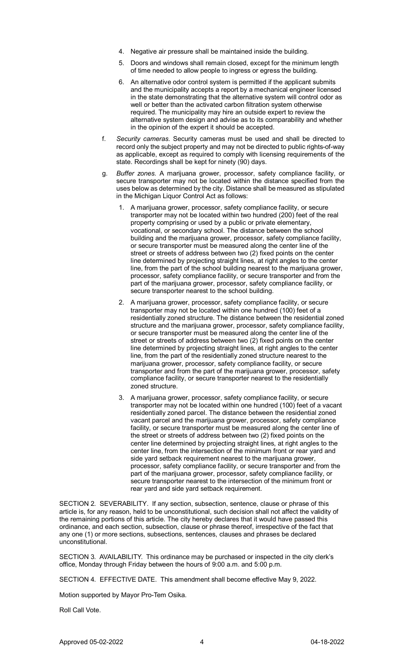- 4. Negative air pressure shall be maintained inside the building.
- 5. Doors and windows shall remain closed, except for the minimum length of time needed to allow people to ingress or egress the building.
- 6. An alternative odor control system is permitted if the applicant submits and the municipality accepts a report by a mechanical engineer licensed in the state demonstrating that the alternative system will control odor as well or better than the activated carbon filtration system otherwise required. The municipality may hire an outside expert to review the alternative system design and advise as to its comparability and whether in the opinion of the expert it should be accepted.
- f. *Security cameras.* Security cameras must be used and shall be directed to record only the subject property and may not be directed to public rights-of-way as applicable, except as required to comply with licensing requirements of the state. Recordings shall be kept for ninety (90) days.
- g. *Buffer zones.* A marijuana grower, processor, safety compliance facility, or secure transporter may not be located within the distance specified from the uses below as determined by the city. Distance shall be measured as stipulated in the Michigan Liquor Control Act as follows:
	- 1. A marijuana grower, processor, safety compliance facility, or secure transporter may not be located within two hundred (200) feet of the real property comprising or used by a public or private elementary, vocational, or secondary school. The distance between the school building and the marijuana grower, processor, safety compliance facility, or secure transporter must be measured along the center line of the street or streets of address between two (2) fixed points on the center line determined by projecting straight lines, at right angles to the center line, from the part of the school building nearest to the marijuana grower, processor, safety compliance facility, or secure transporter and from the part of the marijuana grower, processor, safety compliance facility, or secure transporter nearest to the school building.
	- 2. A marijuana grower, processor, safety compliance facility, or secure transporter may not be located within one hundred (100) feet of a residentially zoned structure. The distance between the residential zoned structure and the marijuana grower, processor, safety compliance facility, or secure transporter must be measured along the center line of the street or streets of address between two (2) fixed points on the center line determined by projecting straight lines, at right angles to the center line, from the part of the residentially zoned structure nearest to the marijuana grower, processor, safety compliance facility, or secure transporter and from the part of the marijuana grower, processor, safety compliance facility, or secure transporter nearest to the residentially zoned structure.
	- 3. A marijuana grower, processor, safety compliance facility, or secure transporter may not be located within one hundred (100) feet of a vacant residentially zoned parcel. The distance between the residential zoned vacant parcel and the marijuana grower, processor, safety compliance facility, or secure transporter must be measured along the center line of the street or streets of address between two (2) fixed points on the center line determined by projecting straight lines, at right angles to the center line, from the intersection of the minimum front or rear yard and side yard setback requirement nearest to the marijuana grower, processor, safety compliance facility, or secure transporter and from the part of the marijuana grower, processor, safety compliance facility, or secure transporter nearest to the intersection of the minimum front or rear yard and side yard setback requirement.

SECTION 2. SEVERABILITY. If any section, subsection, sentence, clause or phrase of this article is, for any reason, held to be unconstitutional, such decision shall not affect the validity of the remaining portions of this article. The city hereby declares that it would have passed this ordinance, and each section, subsection, clause or phrase thereof, irrespective of the fact that any one (1) or more sections, subsections, sentences, clauses and phrases be declared unconstitutional.

SECTION 3. AVAILABILITY. This ordinance may be purchased or inspected in the city clerk's office, Monday through Friday between the hours of 9:00 a.m. and 5:00 p.m.

SECTION 4. EFFECTIVE DATE. This amendment shall become effective May 9, 2022.

Motion supported by Mayor Pro-Tem Osika.

Roll Call Vote.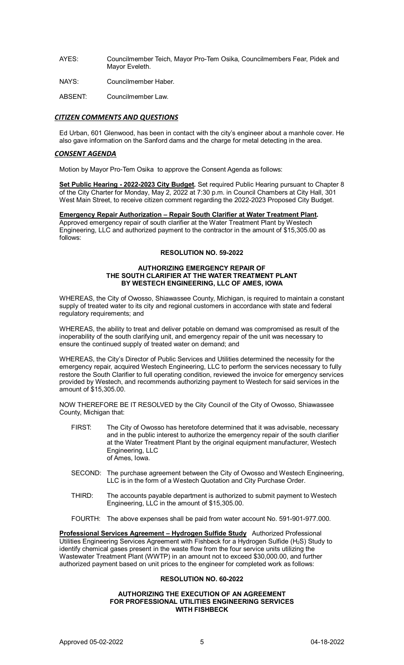- AYES: Councilmember Teich, Mayor Pro-Tem Osika, Councilmembers Fear, Pidek and Mayor Eveleth.
- NAYS: Councilmember Haber.
- ABSENT: Councilmember Law.

# *CITIZEN COMMENTS AND QUESTIONS*

Ed Urban, 601 Glenwood, has been in contact with the city's engineer about a manhole cover. He also gave information on the Sanford dams and the charge for metal detecting in the area.

### *CONSENT AGENDA*

Motion by Mayor Pro-Tem Osika to approve the Consent Agenda as follows:

**Set Public Hearing - 2022-2023 City Budget.** Set required Public Hearing pursuant to Chapter 8 of the City Charter for Monday, May 2, 2022 at 7:30 p.m. in Council Chambers at City Hall, 301 West Main Street, to receive citizen comment regarding the 2022-2023 Proposed City Budget.

**Emergency Repair Authorization – Repair South Clarifier at Water Treatment Plant.** Approved emergency repair of south clarifier at the Water Treatment Plant by Westech Engineering, LLC and authorized payment to the contractor in the amount of \$15,305.00 as follows:

# **RESOLUTION NO. 59-2022**

#### **AUTHORIZING EMERGENCY REPAIR OF THE SOUTH CLARIFIER AT THE WATER TREATMENT PLANT BY WESTECH ENGINEERING, LLC OF AMES, IOWA**

WHEREAS, the City of Owosso, Shiawassee County, Michigan, is required to maintain a constant supply of treated water to its city and regional customers in accordance with state and federal regulatory requirements; and

WHEREAS, the ability to treat and deliver potable on demand was compromised as result of the inoperability of the south clarifying unit, and emergency repair of the unit was necessary to ensure the continued supply of treated water on demand; and

WHEREAS, the City's Director of Public Services and Utilities determined the necessity for the emergency repair, acquired Westech Engineering, LLC to perform the services necessary to fully restore the South Clarifier to full operating condition, reviewed the invoice for emergency services provided by Westech, and recommends authorizing payment to Westech for said services in the amount of \$15,305.00.

NOW THEREFORE BE IT RESOLVED by the City Council of the City of Owosso, Shiawassee County, Michigan that:

- FIRST: The City of Owosso has heretofore determined that it was advisable, necessary and in the public interest to authorize the emergency repair of the south clarifier at the Water Treatment Plant by the original equipment manufacturer, Westech Engineering, LLC of Ames, Iowa.
- SECOND: The purchase agreement between the City of Owosso and Westech Engineering, LLC is in the form of a Westech Quotation and City Purchase Order.
- THIRD: The accounts payable department is authorized to submit payment to Westech Engineering, LLC in the amount of \$15,305.00.
- FOURTH: The above expenses shall be paid from water account No. 591-901-977.000.

**Professional Services Agreement – Hydrogen Sulfide Study** Authorized Professional Utilities Engineering Services Agreement with Fishbeck for a Hydrogen Sulfide (H<sub>2</sub>S) Study to identify chemical gases present in the waste flow from the four service units utilizing the Wastewater Treatment Plant (WWTP) in an amount not to exceed \$30,000.00, and further authorized payment based on unit prices to the engineer for completed work as follows:

# **RESOLUTION NO. 60-2022**

#### **AUTHORIZING THE EXECUTION OF AN AGREEMENT FOR PROFESSIONAL UTILITIES ENGINEERING SERVICES WITH FISHBECK**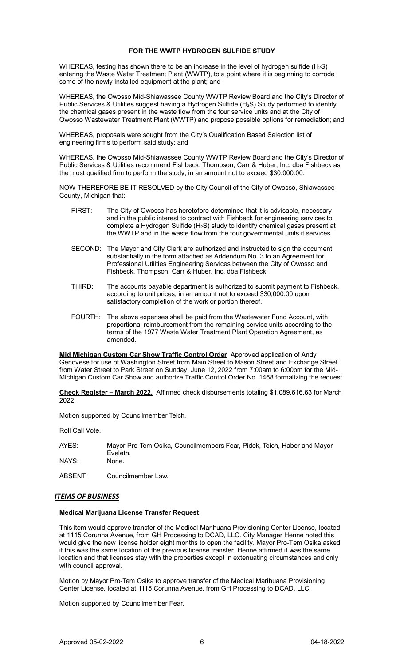### **FOR THE WWTP HYDROGEN SULFIDE STUDY**

WHEREAS, testing has shown there to be an increase in the level of hydrogen sulfide  $(H_2S)$ entering the Waste Water Treatment Plant (WWTP), to a point where it is beginning to corrode some of the newly installed equipment at the plant; and

WHEREAS, the Owosso Mid-Shiawassee County WWTP Review Board and the City's Director of Public Services & Utilities suggest having a Hydrogen Sulfide (H<sub>2</sub>S) Study performed to identify the chemical gases present in the waste flow from the four service units and at the City of Owosso Wastewater Treatment Plant (WWTP) and propose possible options for remediation; and

WHEREAS, proposals were sought from the City's Qualification Based Selection list of engineering firms to perform said study; and

WHEREAS, the Owosso Mid-Shiawassee County WWTP Review Board and the City's Director of Public Services & Utilities recommend Fishbeck, Thompson, Carr & Huber, Inc. dba Fishbeck as the most qualified firm to perform the study, in an amount not to exceed \$30,000.00.

NOW THEREFORE BE IT RESOLVED by the City Council of the City of Owosso, Shiawassee County, Michigan that:

- FIRST: The City of Owosso has heretofore determined that it is advisable, necessary and in the public interest to contract with Fishbeck for engineering services to complete a Hydrogen Sulfide (H<sub>2</sub>S) study to identify chemical gases present at the WWTP and in the waste flow from the four governmental units it services.
- SECOND: The Mayor and City Clerk are authorized and instructed to sign the document substantially in the form attached as Addendum No. 3 to an Agreement for Professional Utilities Engineering Services between the City of Owosso and Fishbeck, Thompson, Carr & Huber, Inc. dba Fishbeck.
- THIRD: The accounts payable department is authorized to submit payment to Fishbeck, according to unit prices, in an amount not to exceed \$30,000.00 upon satisfactory completion of the work or portion thereof.
- FOURTH: The above expenses shall be paid from the Wastewater Fund Account, with proportional reimbursement from the remaining service units according to the terms of the 1977 Waste Water Treatment Plant Operation Agreement, as amended.

**Mid Michigan Custom Car Show Traffic Control Order** Approved application of Andy Genovese for use of Washington Street from Main Street to Mason Street and Exchange Street from Water Street to Park Street on Sunday, June 12, 2022 from 7:00am to 6:00pm for the Mid-Michigan Custom Car Show and authorize Traffic Control Order No. 1468 formalizing the request.

**Check Register – March 2022.** Affirmed check disbursements totaling \$1,089,616.63 for March 2022.

Motion supported by Councilmember Teich.

Roll Call Vote.

| AYES: | Mayor Pro-Tem Osika, Councilmembers Fear, Pidek, Teich, Haber and Mayor |
|-------|-------------------------------------------------------------------------|
|       | Eveleth.                                                                |
| NAYS: | None.                                                                   |

ABSENT: Councilmember Law.

### *ITEMS OF BUSINESS*

### **Medical Marijuana License Transfer Request**

This item would approve transfer of the Medical Marihuana Provisioning Center License, located at 1115 Corunna Avenue, from GH Processing to DCAD, LLC. City Manager Henne noted this would give the new license holder eight months to open the facility. Mayor Pro-Tem Osika asked if this was the same location of the previous license transfer. Henne affirmed it was the same location and that licenses stay with the properties except in extenuating circumstances and only with council approval.

Motion by Mayor Pro-Tem Osika to approve transfer of the Medical Marihuana Provisioning Center License, located at 1115 Corunna Avenue, from GH Processing to DCAD, LLC.

Motion supported by Councilmember Fear.